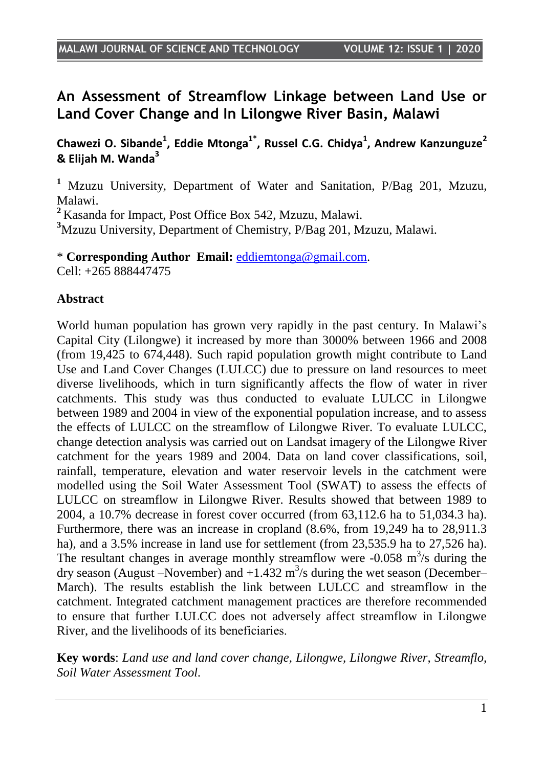# **An Assessment of Streamflow Linkage between Land Use or Land Cover Change and In Lilongwe River Basin, Malawi**

**Chawezi O. Sibande<sup>1</sup> , Eddie Mtonga1\* , Russel C.G. Chidya<sup>1</sup> , Andrew Kanzunguze<sup>2</sup> & Elijah M. Wanda<sup>3</sup>**

**<sup>1</sup>** Mzuzu University, Department of Water and Sanitation, P/Bag 201, Mzuzu, Malawi.

**<sup>2</sup>** Kasanda for Impact, Post Office Box 542, Mzuzu, Malawi.

**<sup>3</sup>**Mzuzu University, Department of Chemistry, P/Bag 201, Mzuzu, Malawi.

\* **Corresponding Author Email:** [eddiemtonga@gmail.com.](mailto:eddiemtonga@gmail.com) Cell: +265 888447475

#### **Abstract**

World human population has grown very rapidly in the past century. In Malawi"s Capital City (Lilongwe) it increased by more than 3000% between 1966 and 2008 (from 19,425 to 674,448). Such rapid population growth might contribute to Land Use and Land Cover Changes (LULCC) due to pressure on land resources to meet diverse livelihoods, which in turn significantly affects the flow of water in river catchments. This study was thus conducted to evaluate LULCC in Lilongwe between 1989 and 2004 in view of the exponential population increase, and to assess the effects of LULCC on the streamflow of Lilongwe River. To evaluate LULCC, change detection analysis was carried out on Landsat imagery of the Lilongwe River catchment for the years 1989 and 2004. Data on land cover classifications, soil, rainfall, temperature, elevation and water reservoir levels in the catchment were modelled using the Soil Water Assessment Tool (SWAT) to assess the effects of LULCC on streamflow in Lilongwe River. Results showed that between 1989 to 2004, a 10.7% decrease in forest cover occurred (from 63,112.6 ha to 51,034.3 ha). Furthermore, there was an increase in cropland (8.6%, from 19,249 ha to 28,911.3 ha), and a 3.5% increase in land use for settlement (from 23,535.9 ha to 27,526 ha). The resultant changes in average monthly streamflow were  $-0.058$  m<sup>3</sup>/s during the dry season (August –November) and  $+1.432 \text{ m}^3/\text{s}$  during the wet season (December– March). The results establish the link between LULCC and streamflow in the catchment. Integrated catchment management practices are therefore recommended to ensure that further LULCC does not adversely affect streamflow in Lilongwe River, and the livelihoods of its beneficiaries

**Key words**: *Land use and land cover change, Lilongwe, Lilongwe River, Streamflo, Soil Water Assessment Tool.*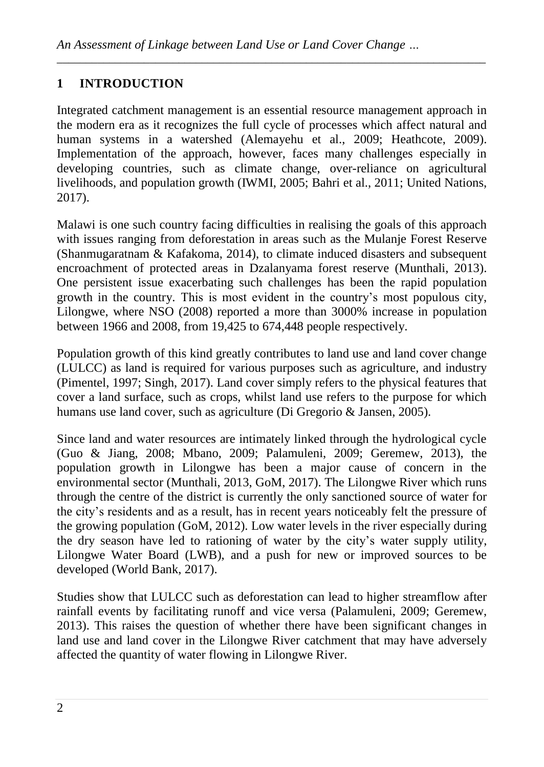# **1 INTRODUCTION**

Integrated catchment management is an essential resource management approach in the modern era as it recognizes the full cycle of processes which affect natural and human systems in a watershed (Alemayehu et al., 2009; Heathcote, 2009). Implementation of the approach, however, faces many challenges especially in developing countries, such as climate change, over-reliance on agricultural livelihoods, and population growth (IWMI, 2005; Bahri et al., 2011; United Nations, 2017).

*\_\_\_\_\_\_\_\_\_\_\_\_\_\_\_\_\_\_\_\_\_\_\_\_\_\_\_\_\_\_\_\_\_\_\_\_\_\_\_\_\_\_\_\_\_\_\_\_\_\_\_\_\_\_\_\_\_\_\_\_\_\_\_\_\_\_\_\_\_\_\_\_\_\_*

Malawi is one such country facing difficulties in realising the goals of this approach with issues ranging from deforestation in areas such as the Mulanje Forest Reserve (Shanmugaratnam & Kafakoma, 2014), to climate induced disasters and subsequent encroachment of protected areas in Dzalanyama forest reserve (Munthali, 2013). One persistent issue exacerbating such challenges has been the rapid population growth in the country. This is most evident in the country"s most populous city, Lilongwe, where NSO (2008) reported a more than 3000% increase in population between 1966 and 2008, from 19,425 to 674,448 people respectively.

Population growth of this kind greatly contributes to land use and land cover change (LULCC) as land is required for various purposes such as agriculture, and industry (Pimentel, 1997; Singh, 2017). Land cover simply refers to the physical features that cover a land surface, such as crops, whilst land use refers to the purpose for which humans use land cover, such as agriculture (Di Gregorio & Jansen, 2005).

Since land and water resources are intimately linked through the hydrological cycle (Guo & Jiang, 2008; Mbano, 2009; Palamuleni, 2009; Geremew, 2013), the population growth in Lilongwe has been a major cause of concern in the environmental sector (Munthali, 2013, GoM, 2017). The Lilongwe River which runs through the centre of the district is currently the only sanctioned source of water for the city"s residents and as a result, has in recent years noticeably felt the pressure of the growing population (GoM, 2012). Low water levels in the river especially during the dry season have led to rationing of water by the city"s water supply utility, Lilongwe Water Board (LWB), and a push for new or improved sources to be developed (World Bank, 2017).

Studies show that LULCC such as deforestation can lead to higher streamflow after rainfall events by facilitating runoff and vice versa (Palamuleni, 2009; Geremew, 2013). This raises the question of whether there have been significant changes in land use and land cover in the Lilongwe River catchment that may have adversely affected the quantity of water flowing in Lilongwe River.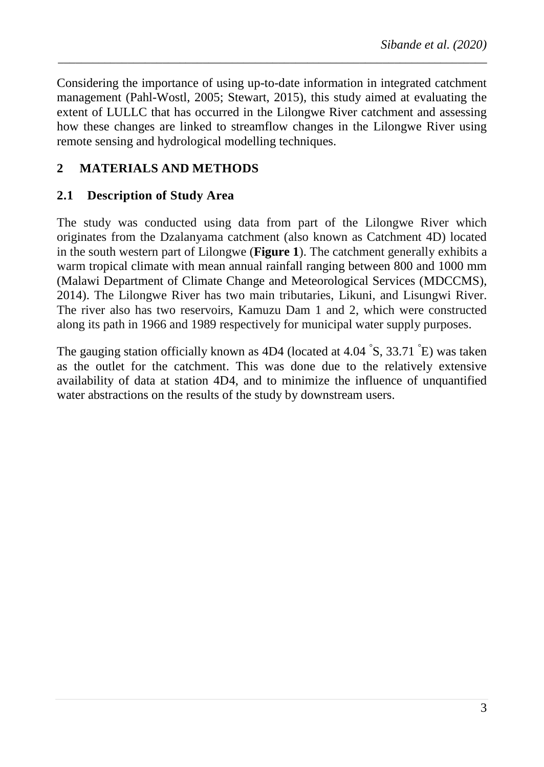Considering the importance of using up-to-date information in integrated catchment management (Pahl-Wostl, 2005; Stewart, 2015), this study aimed at evaluating the extent of LULLC that has occurred in the Lilongwe River catchment and assessing how these changes are linked to streamflow changes in the Lilongwe River using remote sensing and hydrological modelling techniques.

*\_\_\_\_\_\_\_\_\_\_\_\_\_\_\_\_\_\_\_\_\_\_\_\_\_\_\_\_\_\_\_\_\_\_\_\_\_\_\_\_\_\_\_\_\_\_\_\_\_\_\_\_\_\_\_\_\_\_\_\_\_\_\_\_\_\_\_\_\_\_\_\_\_\_*

### **2 MATERIALS AND METHODS**

### **2.1 Description of Study Area**

The study was conducted using data from part of the Lilongwe River which originates from the Dzalanyama catchment (also known as Catchment 4D) located in the south western part of Lilongwe (**[Figure 1](#page-3-0)**). The catchment generally exhibits a warm tropical climate with mean annual rainfall ranging between 800 and 1000 mm (Malawi Department of Climate Change and Meteorological Services (MDCCMS), 2014). The Lilongwe River has two main tributaries, Likuni, and Lisungwi River. The river also has two reservoirs, Kamuzu Dam 1 and 2, which were constructed along its path in 1966 and 1989 respectively for municipal water supply purposes.

The gauging station officially known as 4D4 (located at 4.04  $\degree$ S, 33.71  $\degree$ E) was taken as the outlet for the catchment. This was done due to the relatively extensive availability of data at station 4D4, and to minimize the influence of unquantified water abstractions on the results of the study by downstream users.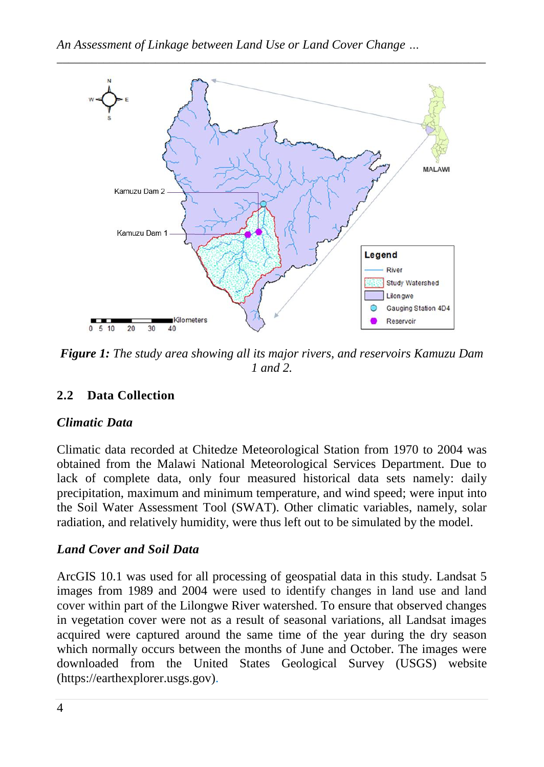

<span id="page-3-0"></span>*Figure 1: The study area showing all its major rivers, and reservoirs Kamuzu Dam 1 and 2.*

## **2.2 Data Collection**

#### *Climatic Data*

Climatic data recorded at Chitedze Meteorological Station from 1970 to 2004 was obtained from the Malawi National Meteorological Services Department. Due to lack of complete data, only four measured historical data sets namely: daily precipitation, maximum and minimum temperature, and wind speed; were input into the Soil Water Assessment Tool (SWAT). Other climatic variables, namely, solar radiation, and relatively humidity, were thus left out to be simulated by the model.

### *Land Cover and Soil Data*

ArcGIS 10.1 was used for all processing of geospatial data in this study. Landsat 5 images from 1989 and 2004 were used to identify changes in land use and land cover within part of the Lilongwe River watershed. To ensure that observed changes in vegetation cover were not as a result of seasonal variations, all Landsat images acquired were captured around the same time of the year during the dry season which normally occurs between the months of June and October. The images were downloaded from the United States Geological Survey (USGS) website (https://earthexplorer.usgs.gov).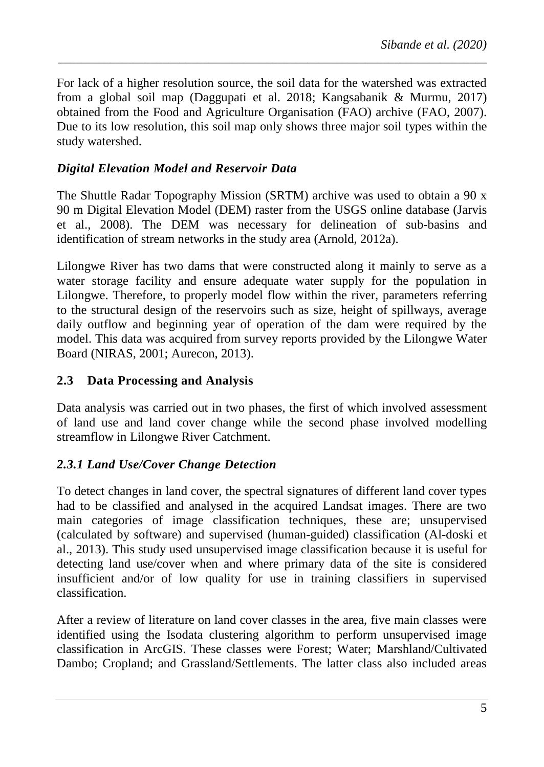For lack of a higher resolution source, the soil data for the watershed was extracted from a global soil map (Daggupati et al. 2018; Kangsabanik & Murmu, 2017) obtained from the Food and Agriculture Organisation (FAO) archive (FAO, 2007). Due to its low resolution, this soil map only shows three major soil types within the study watershed.

*\_\_\_\_\_\_\_\_\_\_\_\_\_\_\_\_\_\_\_\_\_\_\_\_\_\_\_\_\_\_\_\_\_\_\_\_\_\_\_\_\_\_\_\_\_\_\_\_\_\_\_\_\_\_\_\_\_\_\_\_\_\_\_\_\_\_\_\_\_\_\_\_\_\_*

#### *Digital Elevation Model and Reservoir Data*

The Shuttle Radar Topography Mission (SRTM) archive was used to obtain a 90 x 90 m Digital Elevation Model (DEM) raster from the USGS online database (Jarvis et al., 2008). The DEM was necessary for delineation of sub-basins and identification of stream networks in the study area (Arnold, 2012a).

Lilongwe River has two dams that were constructed along it mainly to serve as a water storage facility and ensure adequate water supply for the population in Lilongwe. Therefore, to properly model flow within the river, parameters referring to the structural design of the reservoirs such as size, height of spillways, average daily outflow and beginning year of operation of the dam were required by the model. This data was acquired from survey reports provided by the Lilongwe Water Board (NIRAS, 2001; Aurecon, 2013).

#### **2.3 Data Processing and Analysis**

Data analysis was carried out in two phases, the first of which involved assessment of land use and land cover change while the second phase involved modelling streamflow in Lilongwe River Catchment.

### *2.3.1 Land Use/Cover Change Detection*

To detect changes in land cover, the spectral signatures of different land cover types had to be classified and analysed in the acquired Landsat images. There are two main categories of image classification techniques, these are; unsupervised (calculated by software) and supervised (human-guided) classification (Al-doski et al., 2013). This study used unsupervised image classification because it is useful for detecting land use/cover when and where primary data of the site is considered insufficient and/or of low quality for use in training classifiers in supervised classification.

After a review of literature on land cover classes in the area, five main classes were identified using the Isodata clustering algorithm to perform unsupervised image classification in ArcGIS. These classes were Forest; Water; Marshland/Cultivated Dambo; Cropland; and Grassland/Settlements. The latter class also included areas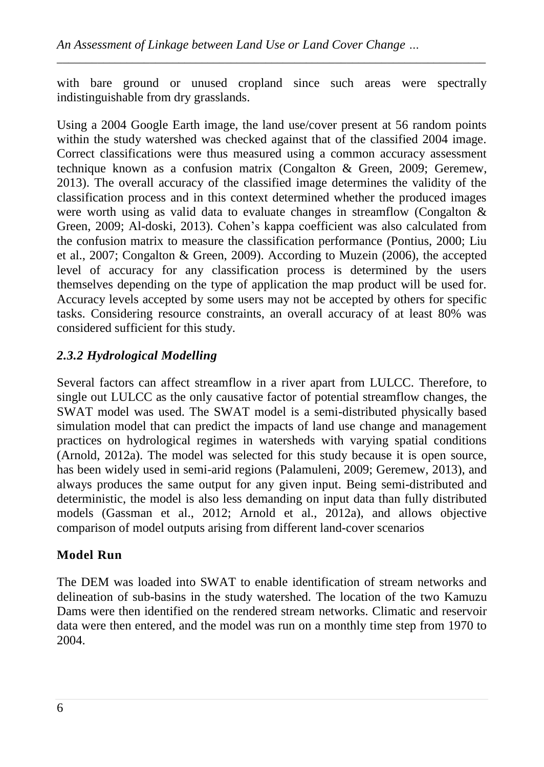with bare ground or unused cropland since such areas were spectrally indistinguishable from dry grasslands.

*\_\_\_\_\_\_\_\_\_\_\_\_\_\_\_\_\_\_\_\_\_\_\_\_\_\_\_\_\_\_\_\_\_\_\_\_\_\_\_\_\_\_\_\_\_\_\_\_\_\_\_\_\_\_\_\_\_\_\_\_\_\_\_\_\_\_\_\_\_\_\_\_\_\_*

Using a 2004 Google Earth image, the land use/cover present at 56 random points within the study watershed was checked against that of the classified 2004 image. Correct classifications were thus measured using a common accuracy assessment technique known as a confusion matrix (Congalton & Green, 2009; Geremew, 2013). The overall accuracy of the classified image determines the validity of the classification process and in this context determined whether the produced images were worth using as valid data to evaluate changes in streamflow (Congalton & Green, 2009; Al-doski, 2013). Cohen"s kappa coefficient was also calculated from the confusion matrix to measure the classification performance (Pontius, 2000; Liu et al., 2007; Congalton & Green, 2009). According to Muzein (2006), the accepted level of accuracy for any classification process is determined by the users themselves depending on the type of application the map product will be used for. Accuracy levels accepted by some users may not be accepted by others for specific tasks. Considering resource constraints, an overall accuracy of at least 80% was considered sufficient for this study.

## *2.3.2 Hydrological Modelling*

Several factors can affect streamflow in a river apart from LULCC. Therefore, to single out LULCC as the only causative factor of potential streamflow changes, the SWAT model was used. The SWAT model is a semi-distributed physically based simulation model that can predict the impacts of land use change and management practices on hydrological regimes in watersheds with varying spatial conditions (Arnold, 2012a). The model was selected for this study because it is open source, has been widely used in semi-arid regions (Palamuleni, 2009; Geremew, 2013), and always produces the same output for any given input. Being semi-distributed and deterministic, the model is also less demanding on input data than fully distributed models (Gassman et al., 2012; Arnold et al., 2012a), and allows objective comparison of model outputs arising from different land-cover scenarios

### **Model Run**

The DEM was loaded into SWAT to enable identification of stream networks and delineation of sub-basins in the study watershed. The location of the two Kamuzu Dams were then identified on the rendered stream networks. Climatic and reservoir data were then entered, and the model was run on a monthly time step from 1970 to 2004.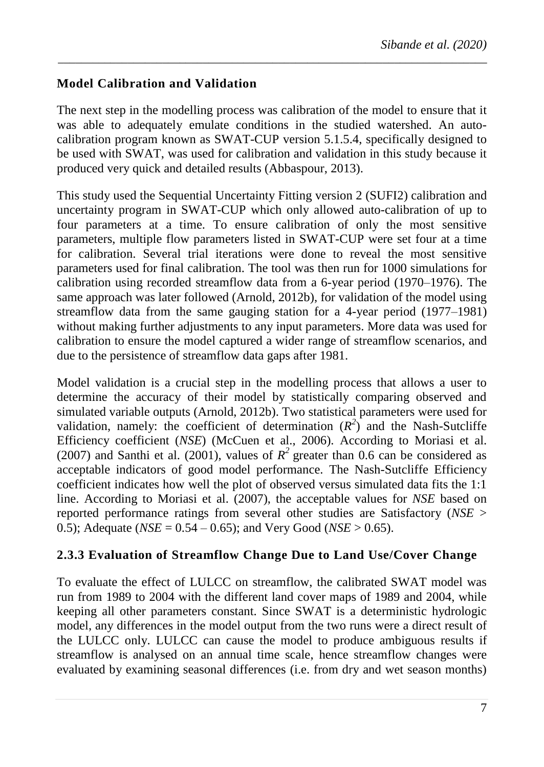### **Model Calibration and Validation**

The next step in the modelling process was calibration of the model to ensure that it was able to adequately emulate conditions in the studied watershed. An autocalibration program known as SWAT-CUP version 5.1.5.4, specifically designed to be used with SWAT, was used for calibration and validation in this study because it produced very quick and detailed results (Abbaspour, 2013).

*\_\_\_\_\_\_\_\_\_\_\_\_\_\_\_\_\_\_\_\_\_\_\_\_\_\_\_\_\_\_\_\_\_\_\_\_\_\_\_\_\_\_\_\_\_\_\_\_\_\_\_\_\_\_\_\_\_\_\_\_\_\_\_\_\_\_\_\_\_\_\_\_\_\_*

This study used the Sequential Uncertainty Fitting version 2 (SUFI2) calibration and uncertainty program in SWAT-CUP which only allowed auto-calibration of up to four parameters at a time. To ensure calibration of only the most sensitive parameters, multiple flow parameters listed in SWAT-CUP were set four at a time for calibration. Several trial iterations were done to reveal the most sensitive parameters used for final calibration. The tool was then run for 1000 simulations for calibration using recorded streamflow data from a 6-year period (1970–1976). The same approach was later followed (Arnold, 2012b), for validation of the model using streamflow data from the same gauging station for a 4-year period (1977–1981) without making further adjustments to any input parameters. More data was used for calibration to ensure the model captured a wider range of streamflow scenarios, and due to the persistence of streamflow data gaps after 1981.

Model validation is a crucial step in the modelling process that allows a user to determine the accuracy of their model by statistically comparing observed and simulated variable outputs (Arnold, 2012b). Two statistical parameters were used for validation, namely: the coefficient of determination  $(R^2)$  and the Nash-Sutcliffe Efficiency coefficient (*NSE*) (McCuen et al., 2006). According to Moriasi et al. (2007) and Santhi et al. (2001), values of  $R^2$  greater than 0.6 can be considered as acceptable indicators of good model performance. The Nash-Sutcliffe Efficiency coefficient indicates how well the plot of observed versus simulated data fits the 1:1 line. According to Moriasi et al. (2007), the acceptable values for *NSE* based on reported performance ratings from several other studies are Satisfactory (*NSE* > 0.5); Adequate (*NSE* = 0.54 – 0.65); and Very Good (*NSE* > 0.65).

### **2.3.3 Evaluation of Streamflow Change Due to Land Use/Cover Change**

To evaluate the effect of LULCC on streamflow, the calibrated SWAT model was run from 1989 to 2004 with the different land cover maps of 1989 and 2004, while keeping all other parameters constant. Since SWAT is a deterministic hydrologic model, any differences in the model output from the two runs were a direct result of the LULCC only. LULCC can cause the model to produce ambiguous results if streamflow is analysed on an annual time scale, hence streamflow changes were evaluated by examining seasonal differences (i.e. from dry and wet season months)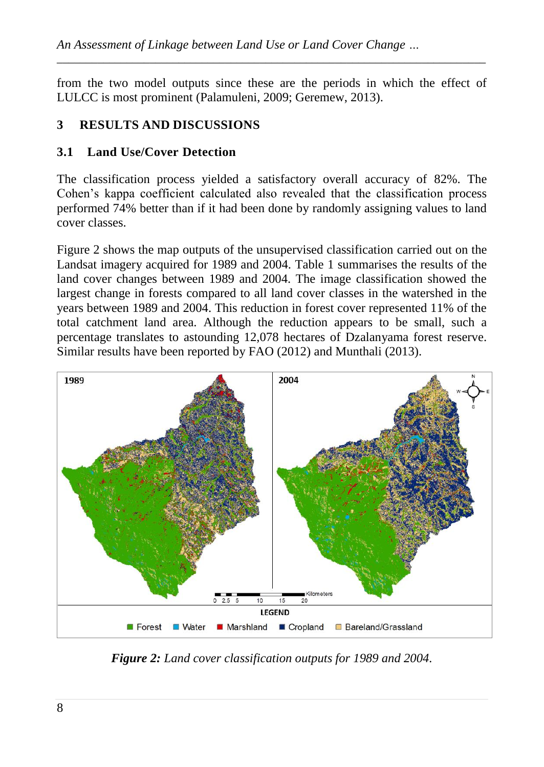from the two model outputs since these are the periods in which the effect of LULCC is most prominent (Palamuleni, 2009; Geremew, 2013).

*\_\_\_\_\_\_\_\_\_\_\_\_\_\_\_\_\_\_\_\_\_\_\_\_\_\_\_\_\_\_\_\_\_\_\_\_\_\_\_\_\_\_\_\_\_\_\_\_\_\_\_\_\_\_\_\_\_\_\_\_\_\_\_\_\_\_\_\_\_\_\_\_\_\_*

### **3 RESULTS AND DISCUSSIONS**

### **3.1 Land Use/Cover Detection**

The classification process yielded a satisfactory overall accuracy of 82%. The Cohen"s kappa coefficient calculated also revealed that the classification process performed 74% better than if it had been done by randomly assigning values to land cover classes.

[Figure 2](#page-7-0) shows the map outputs of the unsupervised classification carried out on the Landsat imagery acquired for 1989 and 2004. Table 1 summarises the results of the land cover changes between 1989 and 2004. The image classification showed the largest change in forests compared to all land cover classes in the watershed in the years between 1989 and 2004. This reduction in forest cover represented 11% of the total catchment land area. Although the reduction appears to be small, such a percentage translates to astounding 12,078 hectares of Dzalanyama forest reserve. Similar results have been reported by FAO (2012) and Munthali (2013).



<span id="page-7-0"></span>*Figure 2: Land cover classification outputs for 1989 and 2004.*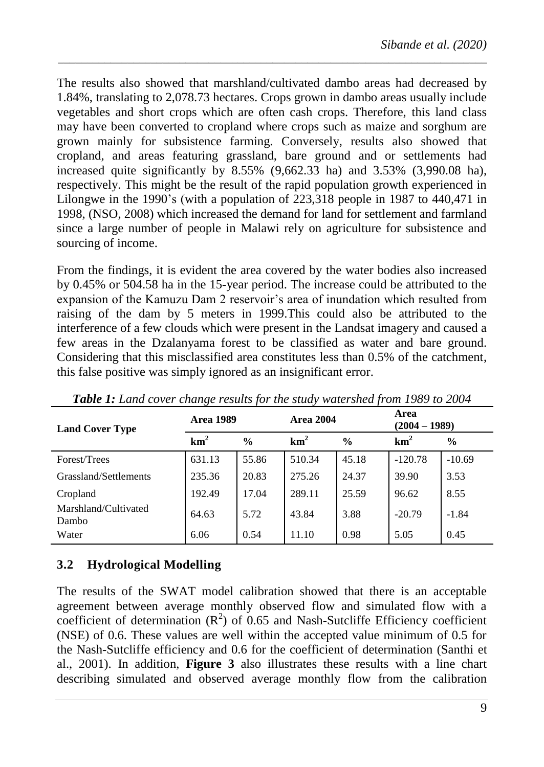The results also showed that marshland/cultivated dambo areas had decreased by 1.84%, translating to 2,078.73 hectares. Crops grown in dambo areas usually include vegetables and short crops which are often cash crops. Therefore, this land class may have been converted to cropland where crops such as maize and sorghum are grown mainly for subsistence farming. Conversely, results also showed that cropland, and areas featuring grassland, bare ground and or settlements had increased quite significantly by  $8.55\%$  (9,662.33 ha) and 3.53% (3,990.08 ha), respectively. This might be the result of the rapid population growth experienced in Lilongwe in the 1990's (with a population of 223,318 people in 1987 to 440,471 in 1998, (NSO, 2008) which increased the demand for land for settlement and farmland since a large number of people in Malawi rely on agriculture for subsistence and sourcing of income.

*\_\_\_\_\_\_\_\_\_\_\_\_\_\_\_\_\_\_\_\_\_\_\_\_\_\_\_\_\_\_\_\_\_\_\_\_\_\_\_\_\_\_\_\_\_\_\_\_\_\_\_\_\_\_\_\_\_\_\_\_\_\_\_\_\_\_\_\_\_\_\_\_\_\_*

From the findings, it is evident the area covered by the water bodies also increased by 0.45% or 504.58 ha in the 15-year period. The increase could be attributed to the expansion of the Kamuzu Dam 2 reservoir's area of inundation which resulted from raising of the dam by 5 meters in 1999.This could also be attributed to the interference of a few clouds which were present in the Landsat imagery and caused a few areas in the Dzalanyama forest to be classified as water and bare ground. Considering that this misclassified area constitutes less than 0.5% of the catchment, this false positive was simply ignored as an insignificant error.

| <b>Land Cover Type</b>        | <b>Area 1989</b> |               | <b>Area 2004</b> |               | Area<br>$(2004 - 1989)$ |               |
|-------------------------------|------------------|---------------|------------------|---------------|-------------------------|---------------|
|                               | km <sup>2</sup>  | $\frac{0}{0}$ | km <sup>2</sup>  | $\frac{6}{9}$ | km <sup>2</sup>         | $\frac{6}{6}$ |
| Forest/Trees                  | 631.13           | 55.86         | 510.34           | 45.18         | $-120.78$               | $-10.69$      |
| Grassland/Settlements         | 235.36           | 20.83         | 275.26           | 24.37         | 39.90                   | 3.53          |
| Cropland                      | 192.49           | 17.04         | 289.11           | 25.59         | 96.62                   | 8.55          |
| Marshland/Cultivated<br>Dambo | 64.63            | 5.72          | 43.84            | 3.88          | $-20.79$                | $-1.84$       |
| Water                         | 6.06             | 0.54          | 11.10            | 0.98          | 5.05                    | 0.45          |

*Table 1: Land cover change results for the study watershed from 1989 to 2004*

## **3.2 Hydrological Modelling**

The results of the SWAT model calibration showed that there is an acceptable agreement between average monthly observed flow and simulated flow with a coefficient of determination  $(R^2)$  of 0.65 and Nash-Sutcliffe Efficiency coefficient (NSE) of 0.6. These values are well within the accepted value minimum of 0.5 for the Nash-Sutcliffe efficiency and 0.6 for the coefficient of determination (Santhi et al., 2001). In addition, **[Figure 3](#page-9-0)** also illustrates these results with a line chart describing simulated and observed average monthly flow from the calibration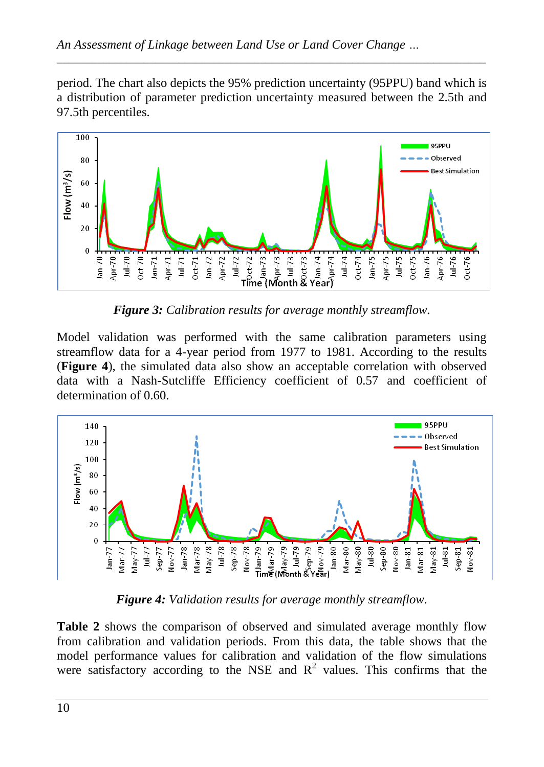period. The chart also depicts the 95% prediction uncertainty (95PPU) band which is a distribution of parameter prediction uncertainty measured between the 2.5th and 97.5th percentiles.

*\_\_\_\_\_\_\_\_\_\_\_\_\_\_\_\_\_\_\_\_\_\_\_\_\_\_\_\_\_\_\_\_\_\_\_\_\_\_\_\_\_\_\_\_\_\_\_\_\_\_\_\_\_\_\_\_\_\_\_\_\_\_\_\_\_\_\_\_\_\_\_\_\_\_*



*Figure 3: Calibration results for average monthly streamflow.*

<span id="page-9-0"></span>Model validation was performed with the same calibration parameters using streamflow data for a 4-year period from 1977 to 1981. According to the results (**[Figure 4](#page-9-1)**), the simulated data also show an acceptable correlation with observed data with a Nash-Sutcliffe Efficiency coefficient of 0.57 and coefficient of determination of 0.60.



*Figure 4: Validation results for average monthly streamflow.*

<span id="page-9-1"></span>**[Table 2](#page-10-0)** shows the comparison of observed and simulated average monthly flow from calibration and validation periods. From this data, the table shows that the model performance values for calibration and validation of the flow simulations were satisfactory according to the NSE and  $R^2$  values. This confirms that the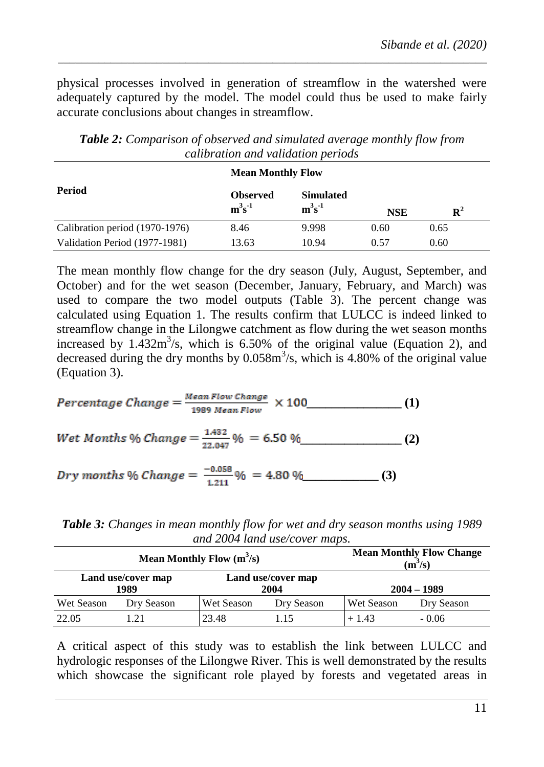physical processes involved in generation of streamflow in the watershed were adequately captured by the model. The model could thus be used to make fairly accurate conclusions about changes in streamflow.

*\_\_\_\_\_\_\_\_\_\_\_\_\_\_\_\_\_\_\_\_\_\_\_\_\_\_\_\_\_\_\_\_\_\_\_\_\_\_\_\_\_\_\_\_\_\_\_\_\_\_\_\_\_\_\_\_\_\_\_\_\_\_\_\_\_\_\_\_\_\_\_\_\_\_*

|                                | <b>Mean Monthly Flow</b>    |                              |      |                              |  |
|--------------------------------|-----------------------------|------------------------------|------|------------------------------|--|
| <b>Period</b>                  | <b>Observed</b><br>$m^3s^1$ | <b>Simulated</b><br>$m^3s^1$ |      | $\mathbf{R}^2$<br><b>NSE</b> |  |
| Calibration period (1970-1976) | 8.46                        | 9.998                        | 0.60 | 0.65                         |  |
| Validation Period (1977-1981)  | 13.63                       | 10.94                        | 0.57 | 0.60                         |  |

<span id="page-10-0"></span>*Table 2: Comparison of observed and simulated average monthly flow from calibration and validation periods*

The mean monthly flow change for the dry season (July, August, September, and October) and for the wet season (December, January, February, and March) was used to compare the two model outputs (Table 3). The percent change was calculated using Equation 1. The results confirm that LULCC is indeed linked to streamflow change in the Lilongwe catchment as flow during the wet season months increased by  $1.432m^3/s$ , which is 6.50% of the original value (Equation 2), and decreased during the dry months by  $0.058m<sup>3</sup>/s$ , which is 4.80% of the original value (Equation 3).

$$
Percentage Change = \frac{Mean Flow Change}{1989 Mean Flow} \times 100
$$
 (1)  
Wet Months % Change =  $\frac{1.432}{22.047} \% = 6.50 \%$  (2)  
Dry months % Change =  $\frac{-0.058}{1.211} \% = 4.80 \%$  (3)

*Table 3: Changes in mean monthly flow for wet and dry season months using 1989 and 2004 land use/cover maps.*

| Mean Monthly Flow $(m^3/s)$ |            |            |                            | <b>Mean Monthly Flow Change</b><br>(m <sup>3</sup> /s) |               |  |
|-----------------------------|------------|------------|----------------------------|--------------------------------------------------------|---------------|--|
| Land use/cover map<br>1989  |            |            | Land use/cover map<br>2004 |                                                        | $2004 - 1989$ |  |
| Wet Season                  | Dry Season | Wet Season | Dry Season                 | Wet Season                                             | Dry Season    |  |
| 22.05                       | 1.21       | 23.48      | 115                        | $+1.43$                                                | $-0.06$       |  |

A critical aspect of this study was to establish the link between LULCC and hydrologic responses of the Lilongwe River. This is well demonstrated by the results which showcase the significant role played by forests and vegetated areas in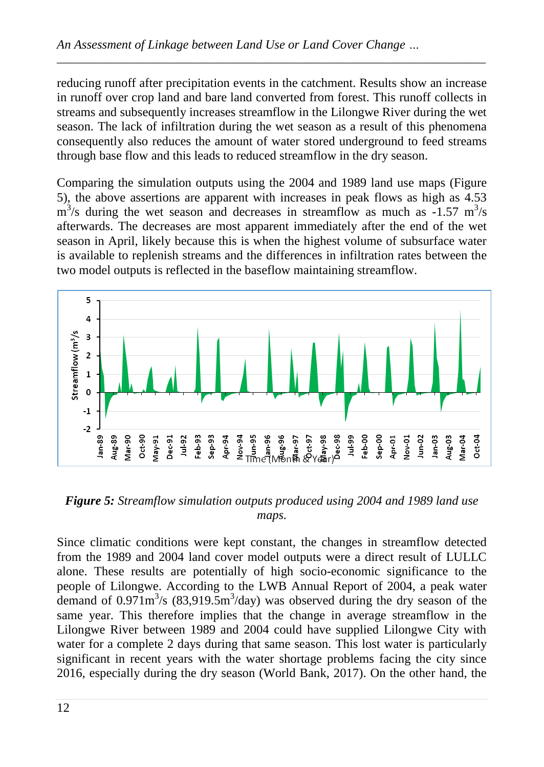reducing runoff after precipitation events in the catchment. Results show an increase in runoff over crop land and bare land converted from forest. This runoff collects in streams and subsequently increases streamflow in the Lilongwe River during the wet season. The lack of infiltration during the wet season as a result of this phenomena consequently also reduces the amount of water stored underground to feed streams through base flow and this leads to reduced streamflow in the dry season.

*\_\_\_\_\_\_\_\_\_\_\_\_\_\_\_\_\_\_\_\_\_\_\_\_\_\_\_\_\_\_\_\_\_\_\_\_\_\_\_\_\_\_\_\_\_\_\_\_\_\_\_\_\_\_\_\_\_\_\_\_\_\_\_\_\_\_\_\_\_\_\_\_\_\_*

Comparing the simulation outputs using the 2004 and 1989 land use maps [\(Figure](#page-11-0)  [5\)](#page-11-0), the above assertions are apparent with increases in peak flows as high as 4.53  $\text{m}^3$ /s during the wet season and decreases in streamflow as much as -1.57 m<sup>3</sup>/s afterwards. The decreases are most apparent immediately after the end of the wet season in April, likely because this is when the highest volume of subsurface water is available to replenish streams and the differences in infiltration rates between the two model outputs is reflected in the baseflow maintaining streamflow.



<span id="page-11-0"></span>*Figure 5: Streamflow simulation outputs produced using 2004 and 1989 land use maps.*

Since climatic conditions were kept constant, the changes in streamflow detected from the 1989 and 2004 land cover model outputs were a direct result of LULLC alone. These results are potentially of high socio-economic significance to the people of Lilongwe. According to the LWB Annual Report of 2004, a peak water demand of  $0.971 \text{m}^3/\text{s}$  (83,919.5m<sup>3</sup>/day) was observed during the dry season of the same year. This therefore implies that the change in average streamflow in the Lilongwe River between 1989 and 2004 could have supplied Lilongwe City with water for a complete 2 days during that same season. This lost water is particularly significant in recent years with the water shortage problems facing the city since 2016, especially during the dry season (World Bank, 2017). On the other hand, the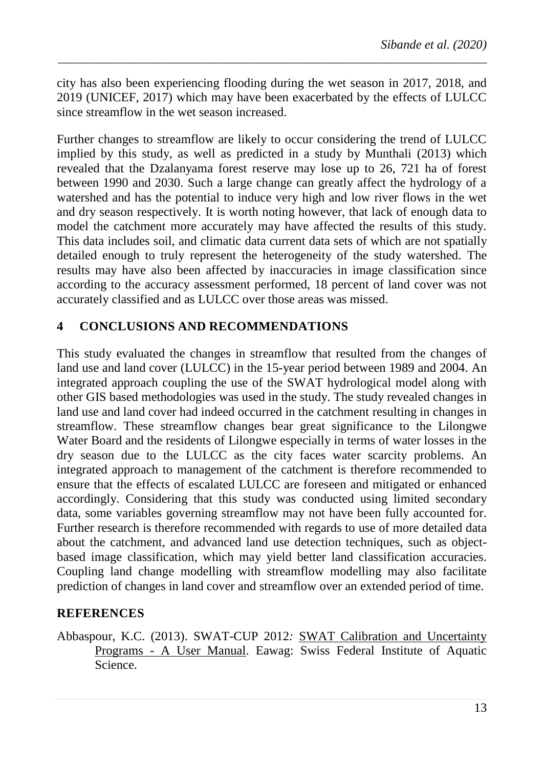city has also been experiencing flooding during the wet season in 2017, 2018, and 2019 (UNICEF, 2017) which may have been exacerbated by the effects of LULCC since streamflow in the wet season increased.

*\_\_\_\_\_\_\_\_\_\_\_\_\_\_\_\_\_\_\_\_\_\_\_\_\_\_\_\_\_\_\_\_\_\_\_\_\_\_\_\_\_\_\_\_\_\_\_\_\_\_\_\_\_\_\_\_\_\_\_\_\_\_\_\_\_\_\_\_\_\_\_\_\_\_*

Further changes to streamflow are likely to occur considering the trend of LULCC implied by this study, as well as predicted in a study by Munthali (2013) which revealed that the Dzalanyama forest reserve may lose up to 26, 721 ha of forest between 1990 and 2030. Such a large change can greatly affect the hydrology of a watershed and has the potential to induce very high and low river flows in the wet and dry season respectively. It is worth noting however, that lack of enough data to model the catchment more accurately may have affected the results of this study. This data includes soil, and climatic data current data sets of which are not spatially detailed enough to truly represent the heterogeneity of the study watershed. The results may have also been affected by inaccuracies in image classification since according to the accuracy assessment performed, 18 percent of land cover was not accurately classified and as LULCC over those areas was missed.

#### **4 CONCLUSIONS AND RECOMMENDATIONS**

This study evaluated the changes in streamflow that resulted from the changes of land use and land cover (LULCC) in the 15-year period between 1989 and 2004. An integrated approach coupling the use of the SWAT hydrological model along with other GIS based methodologies was used in the study. The study revealed changes in land use and land cover had indeed occurred in the catchment resulting in changes in streamflow. These streamflow changes bear great significance to the Lilongwe Water Board and the residents of Lilongwe especially in terms of water losses in the dry season due to the LULCC as the city faces water scarcity problems. An integrated approach to management of the catchment is therefore recommended to ensure that the effects of escalated LULCC are foreseen and mitigated or enhanced accordingly. Considering that this study was conducted using limited secondary data, some variables governing streamflow may not have been fully accounted for. Further research is therefore recommended with regards to use of more detailed data about the catchment, and advanced land use detection techniques, such as objectbased image classification, which may yield better land classification accuracies. Coupling land change modelling with streamflow modelling may also facilitate prediction of changes in land cover and streamflow over an extended period of time.

#### **REFERENCES**

Abbaspour, K.C. (2013). SWAT-CUP 2012*:* SWAT Calibration and Uncertainty Programs - A User Manual. Eawag: Swiss Federal Institute of Aquatic Science.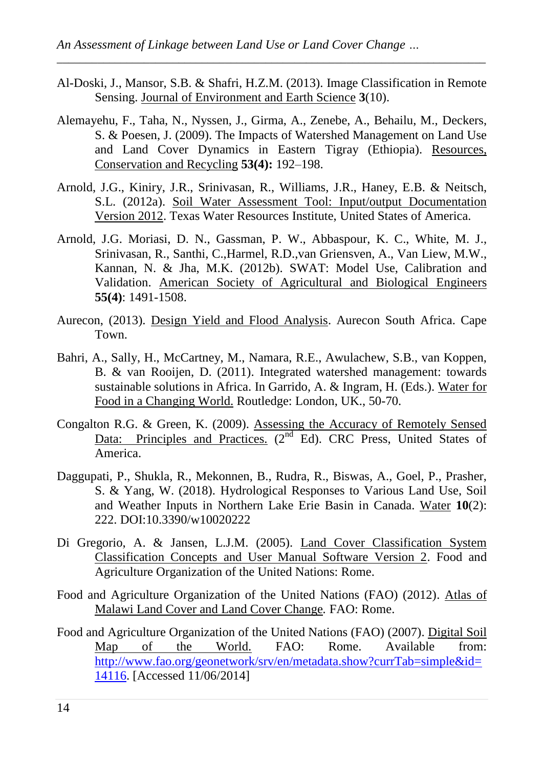Al-Doski, J., Mansor, S.B. & Shafri, H.Z.M. (2013). Image Classification in Remote Sensing. Journal of Environment and Earth Science **3**(10).

- Alemayehu, F., Taha, N., Nyssen, J., Girma, A., Zenebe, A., Behailu, M., Deckers, S. & Poesen, J. (2009). The Impacts of Watershed Management on Land Use and Land Cover Dynamics in Eastern Tigray (Ethiopia). Resources, Conservation and Recycling **53(4):** 192–198.
- Arnold, J.G., Kiniry, J.R., Srinivasan, R., Williams, J.R., Haney, E.B. & Neitsch, S.L. (2012a). Soil Water Assessment Tool: Input/output Documentation Version 2012. Texas Water Resources Institute, United States of America.
- Arnold, J.G. Moriasi, D. N., Gassman, P. W., Abbaspour, K. C., White, M. J., Srinivasan, R., Santhi, C.,Harmel, R.D.,van Griensven, A., Van Liew, M.W., Kannan, N. & Jha, M.K. (2012b). SWAT: Model Use, Calibration and Validation. American Society of Agricultural and Biological Engineers **55(4)**: 1491-1508.
- Aurecon, (2013). Design Yield and Flood Analysis. Aurecon South Africa. Cape Town.
- Bahri, A., Sally, H., McCartney, M., Namara, R.E., Awulachew, S.B., van Koppen, B. & van Rooijen, D. (2011). Integrated watershed management: towards sustainable solutions in Africa. In Garrido, A. & Ingram, H. (Eds.). Water for Food in a Changing World. Routledge: London, UK., 50-70.
- Congalton R.G. & Green, K. (2009). Assessing the Accuracy of Remotely Sensed Data: Principles and Practices. (2<sup>nd</sup> Ed). CRC Press, United States of America.
- Daggupati, P., Shukla, R., Mekonnen, B., Rudra, R., Biswas, A., Goel, P., Prasher, S. & Yang, W. (2018). Hydrological Responses to Various Land Use, Soil and Weather Inputs in Northern Lake Erie Basin in Canada. Water **10**(2): 222. DOI:10.3390/w10020222
- Di Gregorio, A. & Jansen, L.J.M. (2005). Land Cover Classification System Classification Concepts and User Manual Software Version 2. Food and Agriculture Organization of the United Nations: Rome.
- Food and Agriculture Organization of the United Nations (FAO) (2012). Atlas of Malawi Land Cover and Land Cover Change*.* FAO: Rome.
- Food and Agriculture Organization of the United Nations (FAO) (2007). Digital Soil Map of the World. FAO: Rome. Available from: [http://www.fao.org/geonetwork/srv/en/metadata.show?currTab=simple&id=](http://www.fao.org/geonetwork/srv/en/metadata.show?currTab=simple&id=14116) [14116.](http://www.fao.org/geonetwork/srv/en/metadata.show?currTab=simple&id=14116) [Accessed 11/06/2014]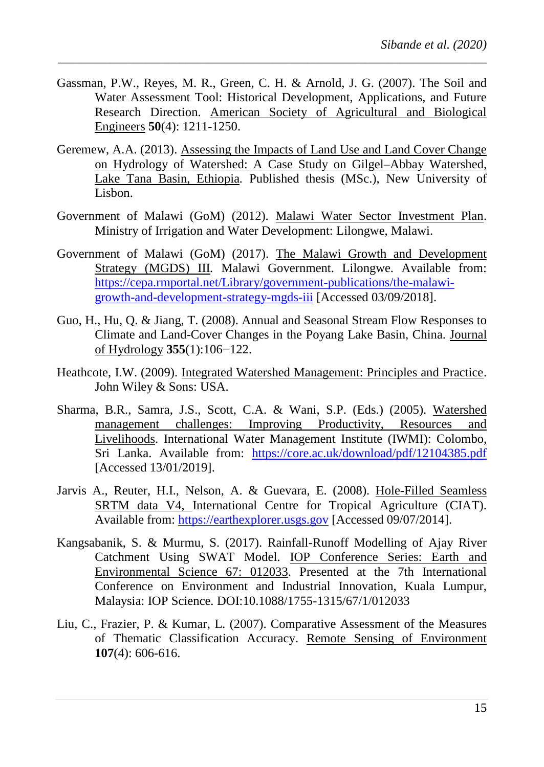Gassman, P.W., Reyes, M. R., Green, C. H. & Arnold, J. G. (2007). The Soil and Water Assessment Tool: Historical Development, Applications, and Future Research Direction. American Society of Agricultural and Biological Engineers **50**(4): 1211-1250.

- Geremew, A.A. (2013). Assessing the Impacts of Land Use and Land Cover Change on Hydrology of Watershed: A Case Study on Gilgel–Abbay Watershed, Lake Tana Basin, Ethiopia*.* Published thesis (MSc.), New University of Lisbon.
- Government of Malawi (GoM) (2012). Malawi Water Sector Investment Plan. Ministry of Irrigation and Water Development: Lilongwe, Malawi.
- Government of Malawi (GoM) (2017). The Malawi Growth and Development Strategy (MGDS) III*.* Malawi Government. Lilongwe. Available from: [https://cepa.rmportal.net/Library/government-publications/the-malawi](https://cepa.rmportal.net/Library/government-publications/the-malawi-growth-and-development-strategy-mgds-iii)[growth-and-development-strategy-mgds-iii](https://cepa.rmportal.net/Library/government-publications/the-malawi-growth-and-development-strategy-mgds-iii) [Accessed 03/09/2018].
- Guo, H., Hu, Q. & Jiang, T. (2008). Annual and Seasonal Stream Flow Responses to Climate and Land-Cover Changes in the Poyang Lake Basin, China. Journal of Hydrology **355**(1):106−122.
- Heathcote, I.W. (2009). Integrated Watershed Management: Principles and Practice. John Wiley & Sons: USA.
- Sharma, B.R., Samra, J.S., Scott, C.A. & Wani, S.P. (Eds.) (2005). Watershed management challenges: Improving Productivity, Resources and Livelihoods. International Water Management Institute (IWMI): Colombo, Sri Lanka. Available from: <https://core.ac.uk/download/pdf/12104385.pdf> [Accessed 13/01/2019].
- Jarvis A., Reuter, H.I., Nelson, A. & Guevara, E. (2008). Hole-Filled Seamless SRTM data V4, International Centre for Tropical Agriculture (CIAT). Available from: [https://earthexplorer.usgs.gov](https://earthexplorer.usgs.gov/) [Accessed 09/07/2014].
- Kangsabanik, S. & Murmu, S. (2017). Rainfall-Runoff Modelling of Ajay River Catchment Using SWAT Model. IOP Conference Series: Earth and Environmental Science 67: 012033. Presented at the 7th International Conference on Environment and Industrial Innovation, Kuala Lumpur, Malaysia: IOP Science. DOI:10.1088/1755-1315/67/1/012033
- Liu, C., Frazier, P. & Kumar, L. (2007). Comparative Assessment of the Measures of Thematic Classification Accuracy. Remote Sensing of Environment **107**(4): 606-616.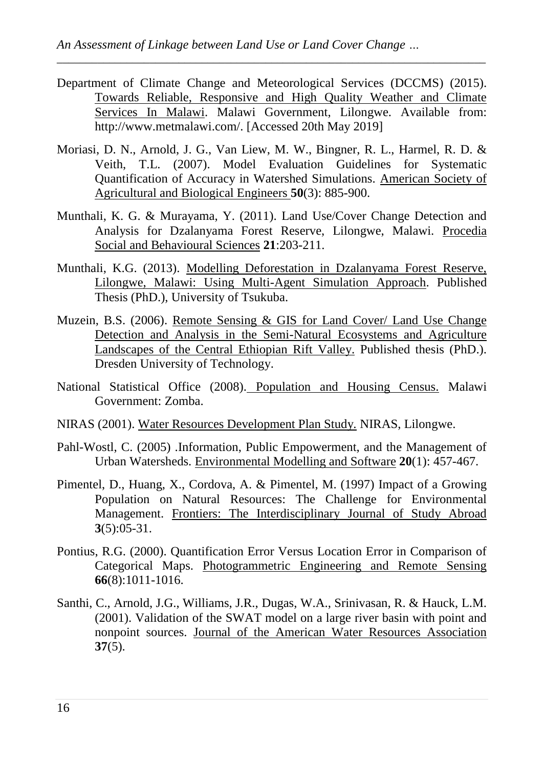Department of Climate Change and Meteorological Services (DCCMS) (2015). Towards Reliable, Responsive and High Quality Weather and Climate Services In Malawi. Malawi Government, Lilongwe. Available from: http://www.metmalawi.com/. [Accessed 20th May 2019]

- Moriasi, D. N., Arnold, J. G., Van Liew, M. W., Bingner, R. L., Harmel, R. D. & Veith, T.L. (2007). Model Evaluation Guidelines for Systematic Quantification of Accuracy in Watershed Simulations. American Society of Agricultural and Biological Engineers **50**(3): 885-900.
- Munthali, K. G. & Murayama, Y. (2011). Land Use/Cover Change Detection and Analysis for Dzalanyama Forest Reserve, Lilongwe, Malawi. Procedia Social and Behavioural Sciences **21**:203-211.
- Munthali, K.G. (2013). Modelling Deforestation in Dzalanyama Forest Reserve, Lilongwe, Malawi: Using Multi-Agent Simulation Approach. Published Thesis (PhD.), University of Tsukuba.
- Muzein, B.S. (2006). Remote Sensing & GIS for Land Cover/ Land Use Change Detection and Analysis in the Semi-Natural Ecosystems and Agriculture Landscapes of the Central Ethiopian Rift Valley. Published thesis (PhD.). Dresden University of Technology.
- National Statistical Office (2008). Population and Housing Census. Malawi Government: Zomba.
- NIRAS (2001). Water Resources Development Plan Study. NIRAS, Lilongwe.
- Pahl-Wostl, C. (2005) .Information, Public Empowerment, and the Management of Urban Watersheds. Environmental Modelling and Software **20**(1): 457-467.
- Pimentel, D., Huang, X., Cordova, A. & Pimentel, M. (1997) Impact of a Growing Population on Natural Resources: The Challenge for Environmental Management. Frontiers: The Interdisciplinary Journal of Study Abroad **3**(5):05-31.
- Pontius, R.G. (2000). Quantification Error Versus Location Error in Comparison of Categorical Maps. Photogrammetric Engineering and Remote Sensing **66**(8):1011-1016.
- Santhi, C., Arnold, J.G., Williams, J.R., Dugas, W.A., Srinivasan, R. & Hauck, L.M. (2001). Validation of the SWAT model on a large river basin with point and nonpoint sources. Journal of the American Water Resources Association **37**(5).